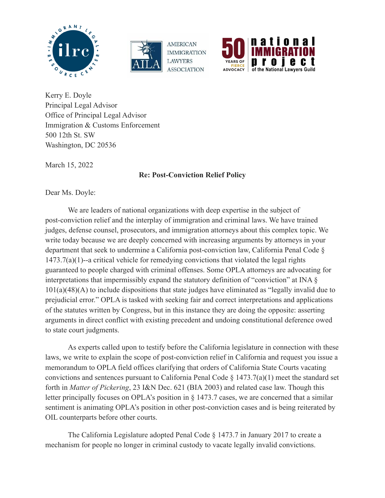





Kerry E. Doyle Principal Legal Advisor Office of Principal Legal Advisor Immigration & Customs Enforcement 500 12th St. SW Washington, DC 20536

March 15, 2022

**Re: Post-Conviction Relief Policy**

Dear Ms. Doyle:

We are leaders of national organizations with deep expertise in the subject of post-conviction relief and the interplay of immigration and criminal laws. We have trained judges, defense counsel, prosecutors, and immigration attorneys about this complex topic. We write today because we are deeply concerned with increasing arguments by attorneys in your department that seek to undermine a California post-conviction law, California Penal Code § 1473.7(a)(1)--a critical vehicle for remedying convictions that violated the legal rights guaranteed to people charged with criminal offenses. Some OPLA attorneys are advocating for interpretations that impermissibly expand the statutory definition of "conviction" at INA § 101(a)(48)(A) to include dispositions that state judges have eliminated as "legally invalid due to prejudicial error." OPLA is tasked with seeking fair and correct interpretations and applications of the statutes written by Congress, but in this instance they are doing the opposite: asserting arguments in direct conflict with existing precedent and undoing constitutional deference owed to state court judgments.

As experts called upon to testify before the California legislature in connection with these laws, we write to explain the scope of post-conviction relief in California and request you issue a memorandum to OPLA field offices clarifying that orders of California State Courts vacating convictions and sentences pursuant to California Penal Code § 1473.7(a)(1) meet the standard set forth in *Matter of Pickering*, 23 I&N Dec. 621 (BIA 2003) and related case law. Though this letter principally focuses on OPLA's position in § 1473.7 cases, we are concerned that a similar sentiment is animating OPLA's position in other post-conviction cases and is being reiterated by OIL counterparts before other courts.

The California Legislature adopted Penal Code § 1473.7 in January 2017 to create a mechanism for people no longer in criminal custody to vacate legally invalid convictions.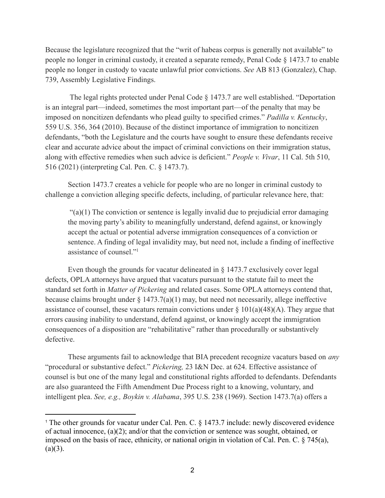Because the legislature recognized that the "writ of habeas corpus is generally not available" to people no longer in criminal custody, it created a separate remedy, Penal Code § 1473.7 to enable people no longer in custody to vacate unlawful prior convictions. *See* AB 813 (Gonzalez), Chap. 739, Assembly Legislative Findings.

The legal rights protected under Penal Code § 1473.7 are well established. "Deportation is an integral part—indeed, sometimes the most important part—of the penalty that may be imposed on noncitizen defendants who plead guilty to specified crimes." *Padilla v. Kentucky*, 559 U.S. 356, 364 (2010). Because of the distinct importance of immigration to noncitizen defendants, "both the Legislature and the courts have sought to ensure these defendants receive clear and accurate advice about the impact of criminal convictions on their immigration status, along with effective remedies when such advice is deficient." *People v. Vivar*, 11 Cal. 5th 510, 516 (2021) (interpreting Cal. Pen. C. § 1473.7).

Section 1473.7 creates a vehicle for people who are no longer in criminal custody to challenge a conviction alleging specific defects, including, of particular relevance here, that:

 $\mathcal{L}(a)(1)$  The conviction or sentence is legally invalid due to prejudicial error damaging the moving party's ability to meaningfully understand, defend against, or knowingly accept the actual or potential adverse immigration consequences of a conviction or sentence. A finding of legal invalidity may, but need not, include a finding of ineffective assistance of counsel."<sup>1</sup>

Even though the grounds for vacatur delineated in § 1473.7 exclusively cover legal defects, OPLA attorneys have argued that vacaturs pursuant to the statute fail to meet the standard set forth in *Matter of Pickering* and related cases. Some OPLA attorneys contend that, because claims brought under  $\S 1473.7(a)(1)$  may, but need not necessarily, allege ineffective assistance of counsel, these vacaturs remain convictions under  $\S 101(a)(48)(A)$ . They argue that errors causing inability to understand, defend against, or knowingly accept the immigration consequences of a disposition are "rehabilitative" rather than procedurally or substantively defective.

These arguments fail to acknowledge that BIA precedent recognize vacaturs based on *any* "procedural or substantive defect." *Pickering,* 23 I&N Dec. at 624. Effective assistance of counsel is but one of the many legal and constitutional rights afforded to defendants. Defendants are also guaranteed the Fifth Amendment Due Process right to a knowing, voluntary, and intelligent plea. *See, e.g., Boykin v. Alabama*, 395 U.S. 238 (1969). Section 1473.7(a) offers a

<sup>&</sup>lt;sup>1</sup> The other grounds for vacatur under Cal. Pen. C. § 1473.7 include: newly discovered evidence of actual innocence, (a)(2); and/or that the conviction or sentence was sought, obtained, or imposed on the basis of race, ethnicity, or national origin in violation of Cal. Pen. C. § 745(a),  $(a)(3)$ .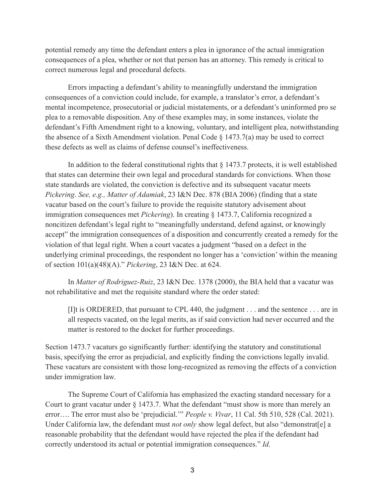potential remedy any time the defendant enters a plea in ignorance of the actual immigration consequences of a plea, whether or not that person has an attorney. This remedy is critical to correct numerous legal and procedural defects.

Errors impacting a defendant's ability to meaningfully understand the immigration consequences of a conviction could include, for example, a translator's error, a defendant's mental incompetence, prosecutorial or judicial mistatements, or a defendant's uninformed pro se plea to a removable disposition. Any of these examples may, in some instances, violate the defendant's Fifth Amendment right to a knowing, voluntary, and intelligent plea, notwithstanding the absence of a Sixth Amendment violation. Penal Code  $\S$  1473.7(a) may be used to correct these defects as well as claims of defense counsel's ineffectiveness.

In addition to the federal constitutional rights that  $\S 1473.7$  protects, it is well established that states can determine their own legal and procedural standards for convictions. When those state standards are violated, the conviction is defective and its subsequent vacatur meets *Pickering*. *See, e.g., Matter of Adamiak*, 23 I&N Dec. 878 (BIA 2006) (finding that a state vacatur based on the court's failure to provide the requisite statutory advisement about immigration consequences met *Pickering*). In creating § 1473.7, California recognized a noncitizen defendant's legal right to "meaningfully understand, defend against, or knowingly accept" the immigration consequences of a disposition and concurrently created a remedy for the violation of that legal right. When a court vacates a judgment "based on a defect in the underlying criminal proceedings, the respondent no longer has a 'conviction' within the meaning of section 101(a)(48)(A)." *Pickering*, 23 I&N Dec. at 624.

In *Matter of Rodriguez-Ruiz*, 23 I&N Dec. 1378 (2000), the BIA held that a vacatur was not rehabilitative and met the requisite standard where the order stated:

[I]t is ORDERED, that pursuant to CPL 440, the judgment . . . and the sentence . . . are in all respects vacated, on the legal merits, as if said conviction had never occurred and the matter is restored to the docket for further proceedings.

Section 1473.7 vacaturs go significantly further: identifying the statutory and constitutional basis, specifying the error as prejudicial, and explicitly finding the convictions legally invalid. These vacaturs are consistent with those long-recognized as removing the effects of a conviction under immigration law.

The Supreme Court of California has emphasized the exacting standard necessary for a Court to grant vacatur under § 1473.7. What the defendant "must show is more than merely an error…. The error must also be 'prejudicial.'" *People v. Vivar*, 11 Cal. 5th 510, 528 (Cal. 2021). Under California law, the defendant must *not only* show legal defect, but also "demonstrat[e] a reasonable probability that the defendant would have rejected the plea if the defendant had correctly understood its actual or potential immigration consequences." *Id.*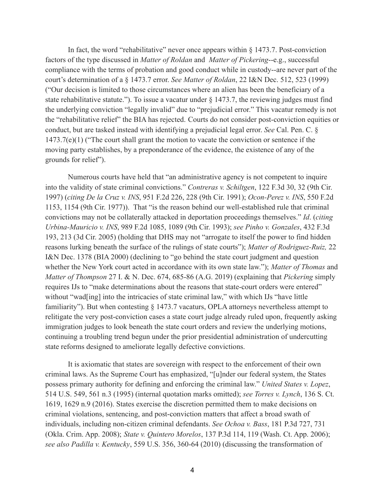In fact, the word "rehabilitative" never once appears within § 1473.7. Post-conviction factors of the type discussed in *Matter of Roldan* and *Matter of Pickering*--e.g., successful compliance with the terms of probation and good conduct while in custody--are never part of the court's determination of a § 1473.7 error. *See Matter of Roldan*, 22 I&N Dec. 512, 523 (1999) ("Our decision is limited to those circumstances where an alien has been the beneficiary of a state rehabilitative statute."). To issue a vacatur under § 1473.7, the reviewing judges must find the underlying conviction "legally invalid" due to "prejudicial error." This vacatur remedy is not the "rehabilitative relief" the BIA has rejected. Courts do not consider post-conviction equities or conduct, but are tasked instead with identifying a prejudicial legal error. *See* Cal. Pen. C. § 1473.7(e)(1) ("The court shall grant the motion to vacate the conviction or sentence if the moving party establishes, by a preponderance of the evidence, the existence of any of the grounds for relief").

Numerous courts have held that "an administrative agency is not competent to inquire into the validity of state criminal convictions." *Contreras v. Schiltgen*, 122 F.3d 30, 32 (9th Cir. 1997) (*citing De la Cruz v. INS*, 951 F.2d 226, 228 (9th Cir. 1991); *Ocon-Perez v. INS*, 550 F.2d 1153, 1154 (9th Cir. 1977)). That "is the reason behind our well-established rule that criminal convictions may not be collaterally attacked in deportation proceedings themselves." *Id*. (*citing Urbina-Mauricio v. INS*, 989 F.2d 1085, 1089 (9th Cir. 1993); *see Pinho v. Gonzales*, 432 F.3d 193, 213 (3d Cir. 2005) (holding that DHS may not "arrogate to itself the power to find hidden reasons lurking beneath the surface of the rulings of state courts"); *Matter of Rodriguez-Ruiz,* 22 I&N Dec. 1378 (BIA 2000) (declining to "go behind the state court judgment and question whether the New York court acted in accordance with its own state law."); *Matter of Thomas* and *Matter of Thompson* 27 I. & N. Dec. 674, 685-86 (A.G. 2019) (explaining that *Pickering* simply requires IJs to "make determinations about the reasons that state-court orders were entered" without "wad[ing] into the intricacies of state criminal law," with which IJs "have little familiarity"). But when contesting  $\S$  1473.7 vacaturs, OPLA attorneys nevertheless attempt to relitigate the very post-conviction cases a state court judge already ruled upon, frequently asking immigration judges to look beneath the state court orders and review the underlying motions, continuing a troubling trend begun under the prior presidential administration of undercutting state reforms designed to ameliorate legally defective convictions.

It is axiomatic that states are sovereign with respect to the enforcement of their own criminal laws. As the Supreme Court has emphasized, "[u]nder our federal system, the States possess primary authority for defining and enforcing the criminal law." *United States v. Lopez*, 514 U.S. 549, 561 n.3 (1995) (internal quotation marks omitted); *see Torres v. Lynch*, 136 S. Ct. 1619, 1629 n.9 (2016). States exercise the discretion permitted them to make decisions on criminal violations, sentencing, and post-conviction matters that affect a broad swath of individuals, including non-citizen criminal defendants. *See Ochoa v. Bass*, 181 P.3d 727, 731 (Okla. Crim. App. 2008); *State v. Quintero Morelos*, 137 P.3d 114, 119 (Wash. Ct. App. 2006); *see also Padilla v. Kentucky*, 559 U.S. 356, 360-64 (2010) (discussing the transformation of